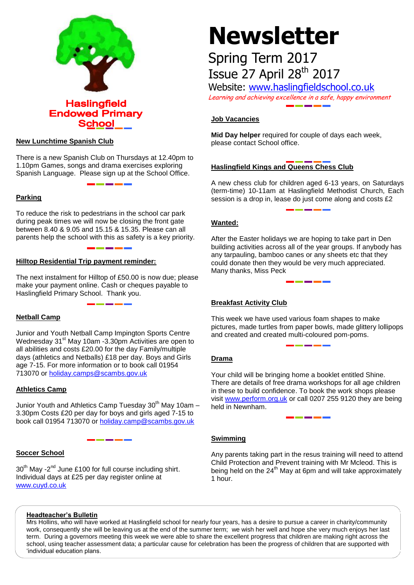

#### **New Lunchtime Spanish Club**

There is a new Spanish Club on Thursdays at 12.40pm to 1.10pm Games, songs and drama exercises exploring Spanish Language. Please sign up at the School Office.

#### **Parking**

To reduce the risk to pedestrians in the school car park during peak times we will now be closing the front gate between 8.40 & 9.05 and 15.15 & 15.35. Please can all parents help the school with this as safety is a key priority.

#### **Hilltop Residential Trip payment reminder:**

The next instalment for Hilltop of £50.00 is now due; please make your payment online. Cash or cheques payable to Haslingfield Primary School. Thank you.

#### **Netball Camp**

Junior and Youth Netball Camp Impington Sports Centre Wednesday 31<sup>st</sup> May 10am -3.30pm Activities are open to all abilities and costs £20.00 for the day Family/multiple days (athletics and Netballs) £18 per day. Boys and Girls age 7-15. For more information or to book call 01954 713070 or [holiday.camps@scambs.gov.uk](mailto:holiday.camps@scambs.gov.uk)

#### **Athletics Camp**

Junior Youth and Athletics Camp Tuesday  $30<sup>th</sup>$  May 10am – 3.30pm Costs £20 per day for boys and girls aged 7-15 to book call 01954 713070 or [holiday.camp@scambs.gov.uk](mailto:holiday.camp@scambs.gov.uk)

### **Soccer School**

 $30<sup>th</sup>$  May -2<sup>nd</sup> June £100 for full course including shirt. Individual days at £25 per day register online at [www.cuyd.co.uk](http://www.cuyd.co.uk/)

# **Newsletter**

## Spring Term 2017 Issue 27 April 28<sup>th</sup> 2017

Website: [www.haslingfieldschool.co.uk](http://www.haslingfieldschool.co.uk/) Learning and achieving excellence in a safe, happy environment

#### **Job Vacancies**

**Mid Day helper** required for couple of days each week, please contact School office.

### **Haslingfield Kings and Queens Chess Club**

A new chess club for children aged 6-13 years, on Saturdays (term-time) 10-11am at Haslingfield Methodist Church, Each session is a drop in, lease do just come along and costs £2

#### **Wanted:**

After the Easter holidays we are hoping to take part in Den building activities across all of the year groups. If anybody has any tarpauling, bamboo canes or any sheets etc that they could donate then they would be very much appreciated. Many thanks, Miss Peck

### **Breakfast Activity Club**

This week we have used various foam shapes to make pictures, made turtles from paper bowls, made glittery lollipops and created and created multi-coloured pom-poms.

#### **Drama**

 There are details of free drama workshops for all age children Your child will be bringing home a booklet entitled Shine. in these to build confidence. To book the work shops please visit [www.perform.org.uk](http://www.perform.org.uk/) or call 0207 255 9120 they are being held in Newnham.

#### **Swimming**

Any parents taking part in the resus training will need to attend Child Protection and Prevent training with Mr Mcleod. This is being held on the 24<sup>th</sup> May at 6pm and will take approximately 1 hour.

#### **Headteacher's Bulletin**

Mrs Hollins, who will have worked at Haslingfield school for nearly four years, has a desire to pursue a career in charity/community work, consequently she will be leaving us at the end of the summer term; we wish her well and hope she very much enjoys her last term. During a governors meeting this week we were able to share the excellent progress that children are making right across the school, using teacher assessment data; a particular cause for celebration has been the progress of children that are supported with 'individual education plans.